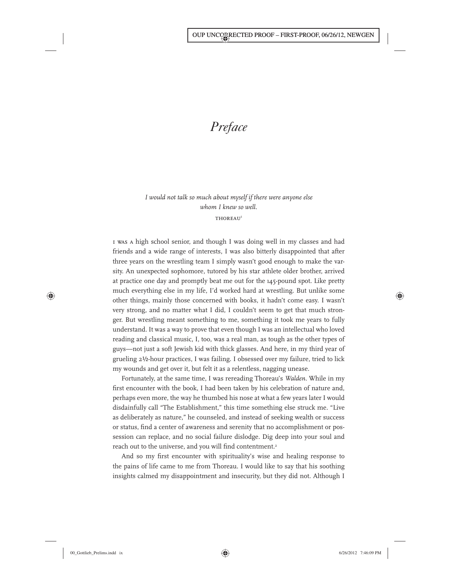## *Preface*

 *I would not talk so much about myself if there were anyone else whom I knew so well.* 

### THOREAU<sup>1</sup>

 i was a high school senior, and though I was doing well in my classes and had friends and a wide range of interests, I was also bitterly disappointed that after three years on the wrestling team I simply wasn't good enough to make the varsity. An unexpected sophomore, tutored by his star athlete older brother, arrived at practice one day and promptly beat me out for the 145-pound spot. Like pretty much everything else in my life, I'd worked hard at wrestling. But unlike some other things, mainly those concerned with books, it hadn't come easy. I wasn't very strong, and no matter what I did, I couldn't seem to get that much stronger. But wrestling meant something to me, something it took me years to fully understand. It was a way to prove that even though I was an intellectual who loved reading and classical music, I, too, was a real man, as tough as the other types of guys—not just a soft Jewish kid with thick glasses. And here, in my third year of grueling 2½-hour practices, I was failing. I obsessed over my failure, tried to lick my wounds and get over it, but felt it as a relentless, nagging unease.

 Fortunately, at the same time, I was rereading Thoreau's *Walden* . While in my first encounter with the book, I had been taken by his celebration of nature and, perhaps even more, the way he thumbed his nose at what a few years later I would disdainfully call "The Establishment," this time something else struck me. "Live as deliberately as nature," he counseled, and instead of seeking wealth or success or status, find a center of awareness and serenity that no accomplishment or possession can replace, and no social failure dislodge. Dig deep into your soul and reach out to the universe, and you will find contentment.<sup>2</sup>

And so my first encounter with spirituality's wise and healing response to the pains of life came to me from Thoreau. I would like to say that his soothing insights calmed my disappointment and insecurity, but they did not. Although I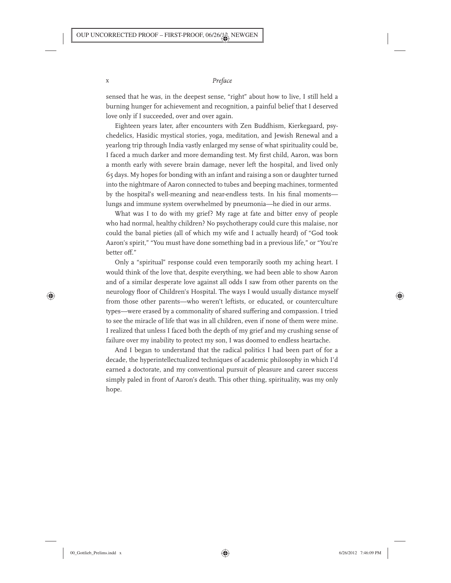### x *Preface*

sensed that he was, in the deepest sense, "right" about how to live, I still held a burning hunger for achievement and recognition, a painful belief that I deserved love only if I succeeded, over and over again.

 Eighteen years later, after encounters with Zen Buddhism, Kierkegaard, psychedelics, Hasidic mystical stories, yoga, meditation, and Jewish Renewal and a yearlong trip through India vastly enlarged my sense of what spirituality could be, I faced a much darker and more demanding test. My first child, Aaron, was born a month early with severe brain damage, never left the hospital, and lived only 65 days. My hopes for bonding with an infant and raising a son or daughter turned into the nightmare of Aaron connected to tubes and beeping machines, tormented by the hospital's well-meaning and near-endless tests. In his final momentslungs and immune system overwhelmed by pneumonia—he died in our arms.

What was I to do with my grief? My rage at fate and bitter envy of people who had normal, healthy children? No psychotherapy could cure this malaise, nor could the banal pieties (all of which my wife and I actually heard) of "God took Aaron's spirit," "You must have done something bad in a previous life," or "You're better off."

 Only a "spiritual" response could even temporarily sooth my aching heart. I would think of the love that, despite everything, we had been able to show Aaron and of a similar desperate love against all odds I saw from other parents on the neurology floor of Children's Hospital. The ways I would usually distance myself from those other parents—who weren't leftists, or educated, or counterculture types—were erased by a commonality of shared suffering and compassion. I tried to see the miracle of life that was in all children, even if none of them were mine. I realized that unless I faced both the depth of my grief and my crushing sense of failure over my inability to protect my son, I was doomed to endless heartache.

 And I began to understand that the radical politics I had been part of for a decade, the hyperintellectualized techniques of academic philosophy in which I'd earned a doctorate, and my conventional pursuit of pleasure and career success simply paled in front of Aaron's death. This other thing, spirituality, was my only hope.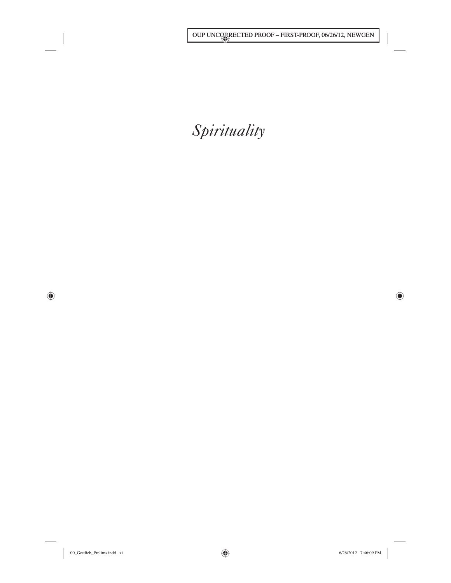# *Spirituality*

 $\bigoplus$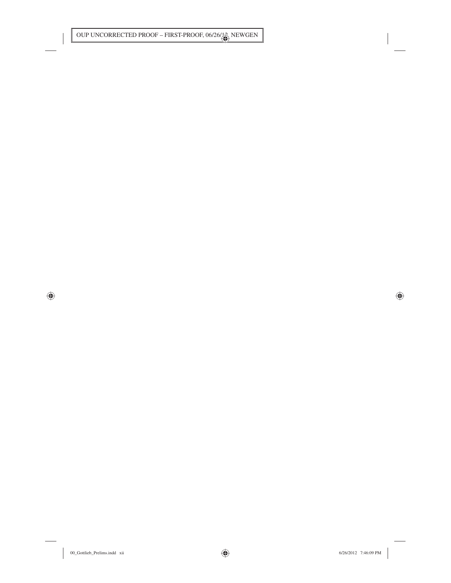OUP UNCORRECTED PROOF – FIRST-PROOF, 06/26/26, NEWGEN

 $\bigoplus$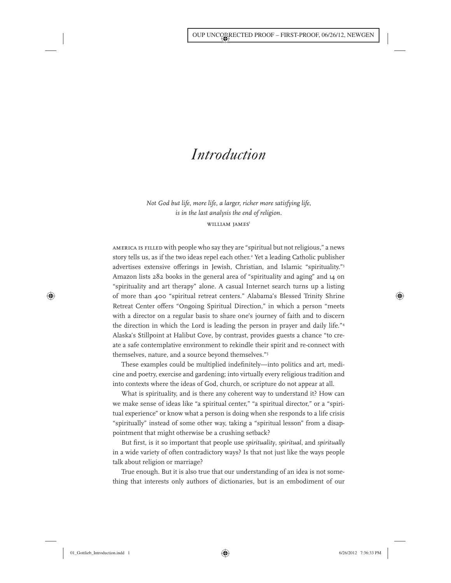## *Introduction*

 *Not God but life, more life, a larger, richer more satisfying life, is in the last analysis the end of religion.*  WILLIAM JAMES<sup>1</sup>

 america is filled with people who say they are "spiritual but not religious," a news story tells us, as if the two ideas repel each other.<sup>2</sup> Yet a leading Catholic publisher advertises extensive offerings in Jewish, Christian, and Islamic "spirituality."<sup>3</sup> Amazon lists 282 books in the general area of "spirituality and aging" and 14 on "spirituality and art therapy" alone. A casual Internet search turns up a listing of more than 400 "spiritual retreat centers." Alabama's Blessed Trinity Shrine Retreat Center offers "Ongoing Spiritual Direction," in which a person "meets with a director on a regular basis to share one's journey of faith and to discern the direction in which the Lord is leading the person in prayer and daily life."<sup>4</sup> Alaska's Stillpoint at Halibut Cove, by contrast, provides guests a chance "to create a safe contemplative environment to rekindle their spirit and re-connect with themselves, nature, and a source beyond themselves."<sup>5</sup>

These examples could be multiplied indefinitely—into politics and art, medicine and poetry, exercise and gardening; into virtually every religious tradition and into contexts where the ideas of God, church, or scripture do not appear at all.

 What is spirituality, and is there any coherent way to understand it? How can we make sense of ideas like "a spiritual center," "a spiritual director," or a "spiritual experience" or know what a person is doing when she responds to a life crisis "spiritually" instead of some other way, taking a "spiritual lesson" from a disappointment that might otherwise be a crushing setback?

But first, is it so important that people use *spirituality*, *spiritual*, and *spiritually* in a wide variety of often contradictory ways? Is that not just like the ways people talk about religion or marriage?

 True enough. But it is also true that our understanding of an idea is not something that interests only authors of dictionaries, but is an embodiment of our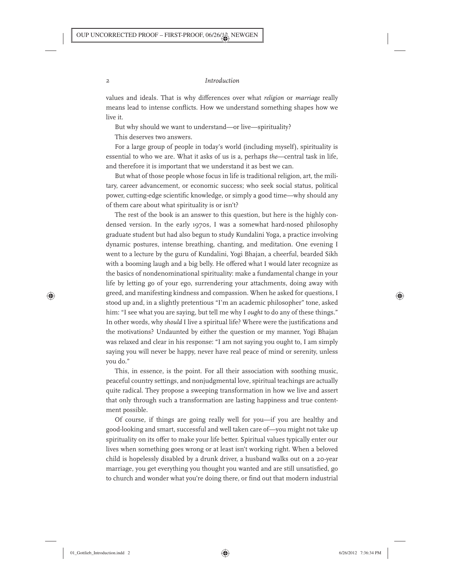### 2 *Introduction*

values and ideals. That is why differences over what *religion* or *marriage* really means lead to intense conflicts. How we understand something shapes how we live it.

But why should we want to understand—or live—spirituality?

This deserves two answers.

 For a large group of people in today's world (including myself), spirituality is essential to who we are. What it asks of us is a, perhaps *the*—central task in life, and therefore it is important that we understand it as best we can.

 But what of those people whose focus in life is traditional religion, art, the military, career advancement, or economic success; who seek social status, political power, cutting-edge scientific knowledge, or simply a good time—why should any of them care about what spirituality is or isn't?

 The rest of the book is an answer to this question, but here is the highly condensed version. In the early 1970s, I was a somewhat hard-nosed philosophy graduate student but had also begun to study Kundalini Yoga, a practice involving dynamic postures, intense breathing, chanting, and meditation. One evening I went to a lecture by the guru of Kundalini, Yogi Bhajan, a cheerful, bearded Sikh with a booming laugh and a big belly. He offered what I would later recognize as the basics of nondenominational spirituality: make a fundamental change in your life by letting go of your ego, surrendering your attachments, doing away with greed, and manifesting kindness and compassion. When he asked for questions, I stood up and, in a slightly pretentious "I'm an academic philosopher" tone, asked him: "I see what you are saying, but tell me why I *ought* to do any of these things." In other words, why *should* I live a spiritual life? Where were the justifications and the motivations? Undaunted by either the question or my manner, Yogi Bhajan was relaxed and clear in his response: "I am not saying you ought to, I am simply saying you will never be happy, never have real peace of mind or serenity, unless you do."

 This, in essence, is the point. For all their association with soothing music, peaceful country settings, and nonjudgmental love, spiritual teachings are actually quite radical. They propose a sweeping transformation in how we live and assert that only through such a transformation are lasting happiness and true contentment possible.

 Of course, if things are going really well for you—if you are healthy and good-looking and smart, successful and well taken care of—you might not take up spirituality on its offer to make your life better. Spiritual values typically enter our lives when something goes wrong or at least isn't working right. When a beloved child is hopelessly disabled by a drunk driver, a husband walks out on a 20-year marriage, you get everything you thought you wanted and are still unsatisfied, go to church and wonder what you're doing there, or find out that modern industrial